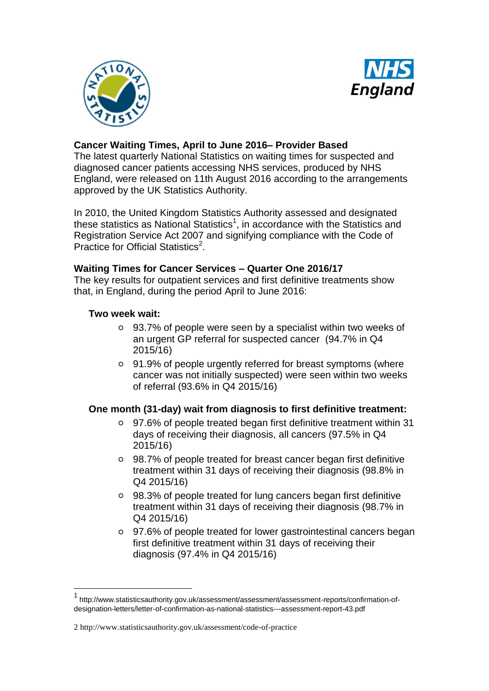



# **Cancer Waiting Times, April to June 2016– Provider Based**

The latest quarterly National Statistics on waiting times for suspected and diagnosed cancer patients accessing NHS services, produced by NHS England, were released on 11th August 2016 according to the arrangements approved by the UK Statistics Authority.

In 2010, the United Kingdom Statistics Authority assessed and designated these statistics as National Statistics<sup>1</sup>, in accordance with the Statistics and Registration Service Act 2007 and signifying compliance with the Code of Practice for Official Statistics<sup>2</sup>.

### **Waiting Times for Cancer Services – Quarter One 2016/17**

The key results for outpatient services and first definitive treatments show that, in England, during the period April to June 2016:

### **Two week wait:**

1

- 93.7% of people were seen by a specialist within two weeks of an urgent GP referral for suspected cancer (94.7% in Q4 2015/16)
- 91.9% of people urgently referred for breast symptoms (where cancer was not initially suspected) were seen within two weeks of referral (93.6% in Q4 2015/16)

## **One month (31-day) wait from diagnosis to first definitive treatment:**

- 97.6% of people treated began first definitive treatment within 31 days of receiving their diagnosis, all cancers (97.5% in Q4 2015/16)
- 98.7% of people treated for breast cancer began first definitive treatment within 31 days of receiving their diagnosis (98.8% in Q4 2015/16)
- 98.3% of people treated for lung cancers began first definitive treatment within 31 days of receiving their diagnosis (98.7% in Q4 2015/16)
- 97.6% of people treated for lower gastrointestinal cancers began first definitive treatment within 31 days of receiving their diagnosis (97.4% in Q4 2015/16)

<sup>1</sup> [http://www.statisticsauthority.gov.uk/assessment/assessment/assessment-reports/confirmation-of](http://www.statisticsauthority.gov.uk/assessment/assessment/assessment-reports/confirmation-of-designation-letters/letter-of-confirmation-as-national-statistics---assessment-report-43.pdf)[designation-letters/letter-of-confirmation-as-national-statistics---assessment-report-43.pdf](http://www.statisticsauthority.gov.uk/assessment/assessment/assessment-reports/confirmation-of-designation-letters/letter-of-confirmation-as-national-statistics---assessment-report-43.pdf)

<sup>2</sup> <http://www.statisticsauthority.gov.uk/assessment/code-of-practice>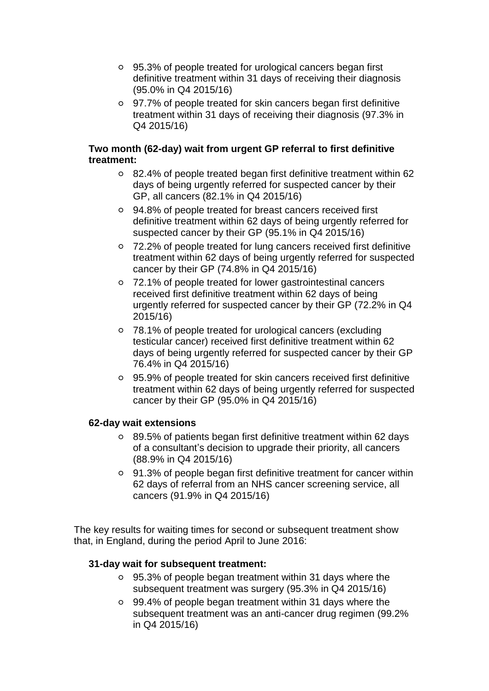- 95.3% of people treated for urological cancers began first definitive treatment within 31 days of receiving their diagnosis (95.0% in Q4 2015/16)
- 97.7% of people treated for skin cancers began first definitive treatment within 31 days of receiving their diagnosis (97.3% in Q4 2015/16)

## **Two month (62-day) wait from urgent GP referral to first definitive treatment:**

- 82.4% of people treated began first definitive treatment within 62 days of being urgently referred for suspected cancer by their GP, all cancers (82.1% in Q4 2015/16)
- 94.8% of people treated for breast cancers received first definitive treatment within 62 days of being urgently referred for suspected cancer by their GP (95.1% in Q4 2015/16)
- 72.2% of people treated for lung cancers received first definitive treatment within 62 days of being urgently referred for suspected cancer by their GP (74.8% in Q4 2015/16)
- 72.1% of people treated for lower gastrointestinal cancers received first definitive treatment within 62 days of being urgently referred for suspected cancer by their GP (72.2% in Q4 2015/16)
- 78.1% of people treated for urological cancers (excluding testicular cancer) received first definitive treatment within 62 days of being urgently referred for suspected cancer by their GP 76.4% in Q4 2015/16)
- 95.9% of people treated for skin cancers received first definitive treatment within 62 days of being urgently referred for suspected cancer by their GP (95.0% in Q4 2015/16)

# **62-day wait extensions**

- 89.5% of patients began first definitive treatment within 62 days of a consultant's decision to upgrade their priority, all cancers (88.9% in Q4 2015/16)
- 91.3% of people began first definitive treatment for cancer within 62 days of referral from an NHS cancer screening service, all cancers (91.9% in Q4 2015/16)

The key results for waiting times for second or subsequent treatment show that, in England, during the period April to June 2016:

# **31-day wait for subsequent treatment:**

- 95.3% of people began treatment within 31 days where the subsequent treatment was surgery (95.3% in Q4 2015/16)
- 99.4% of people began treatment within 31 days where the subsequent treatment was an anti-cancer drug regimen (99.2% in Q4 2015/16)